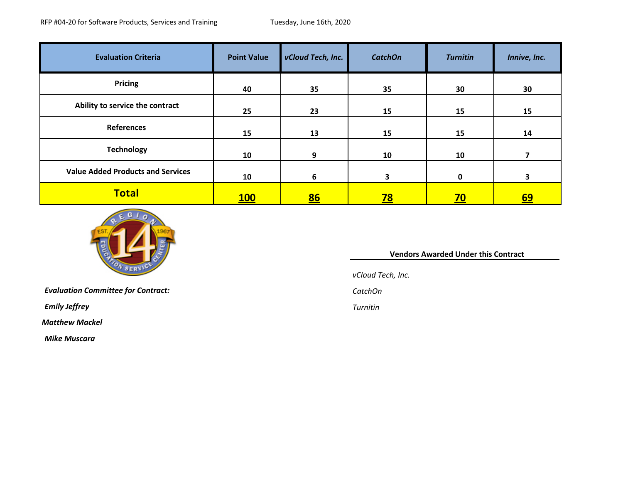| <b>Evaluation Criteria</b>               | <b>Point Value</b> | vCloud Tech, Inc. | <b>CatchOn</b>          | <b>Turnitin</b> | Innive, Inc.            |
|------------------------------------------|--------------------|-------------------|-------------------------|-----------------|-------------------------|
| <b>Pricing</b>                           | 40                 | 35                | 35                      | 30              | 30                      |
| Ability to service the contract          | 25                 | 23                | 15                      | 15              | 15                      |
| References                               | 15                 | 13                | 15                      | 15              | 14                      |
| <b>Technology</b>                        | 10                 | 9                 | 10                      | 10              |                         |
| <b>Value Added Products and Services</b> | 10                 | 6                 | $\overline{\mathbf{3}}$ | 0               | $\overline{\mathbf{3}}$ |
| <b>Total</b>                             | <b>100</b>         | 86                | <u>78</u>               | <u>70</u>       | <u>69</u>               |



*Evaluation Committee for Contract: CatchOn*

*Emily Jeffrey Turnitin*

*Matthew Mackel*

*Mike Muscara*

## **Vendors Awarded Under this Contract**

*vCloud Tech, Inc.*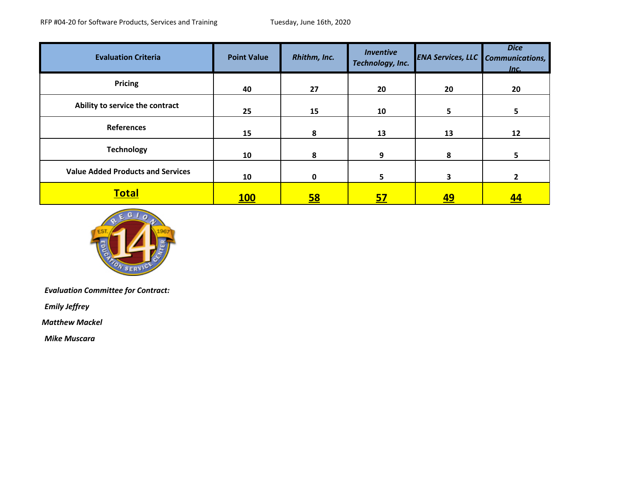| <b>Evaluation Criteria</b>               | <b>Point Value</b> | Rhithm, Inc. | <b>Inventive</b><br>Technology, Inc. | <b>ENA Services, LLC</b> Communications, | <b>Dice</b><br>Inc. |
|------------------------------------------|--------------------|--------------|--------------------------------------|------------------------------------------|---------------------|
| <b>Pricing</b>                           | 40                 | 27           | 20                                   | 20                                       | 20                  |
| Ability to service the contract          | 25                 | 15           | 10                                   | 5.                                       | 5                   |
| References                               | 15                 | 8            | 13                                   | 13                                       | 12                  |
| <b>Technology</b>                        | 10                 | 8            | 9                                    | 8                                        | 5.                  |
| <b>Value Added Products and Services</b> | 10                 | 0            | 5.                                   | 3                                        | $\mathbf{z}$        |
| <b>Total</b>                             | <u>100</u>         | <u>58</u>    | <u>57</u>                            | <u>49</u>                                | <u>44</u>           |



*Evaluation Committee for Contract:* 

*Emily Jeffrey*

*Matthew Mackel*

*Mike Muscara*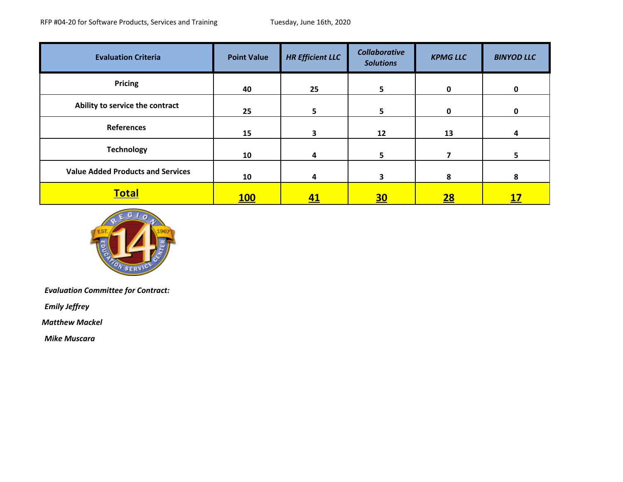| <b>Evaluation Criteria</b>               | <b>Point Value</b> | <b>HR Efficient LLC</b> | <b>Collaborative</b><br><b>Solutions</b> | <b>KPMG LLC</b> | <b>BINYOD LLC</b> |
|------------------------------------------|--------------------|-------------------------|------------------------------------------|-----------------|-------------------|
| <b>Pricing</b>                           | 40                 | 25                      | 5                                        | $\mathbf 0$     | $\mathbf 0$       |
| Ability to service the contract          | 25                 | 5.                      | 5                                        | 0               | 0                 |
| <b>References</b>                        | 15                 | 3                       | 12                                       | 13              | 4                 |
| <b>Technology</b>                        | 10                 | 4                       | 5                                        | 7               | 5                 |
| <b>Value Added Products and Services</b> | 10                 | 4                       | 3                                        | 8               | 8                 |
| <b>Total</b>                             | <b>100</b>         | <u>41</u>               | <u>30</u>                                | 28              | <u> 17</u>        |



*Evaluation Committee for Contract:* 

*Emily Jeffrey*

*Matthew Mackel*

*Mike Muscara*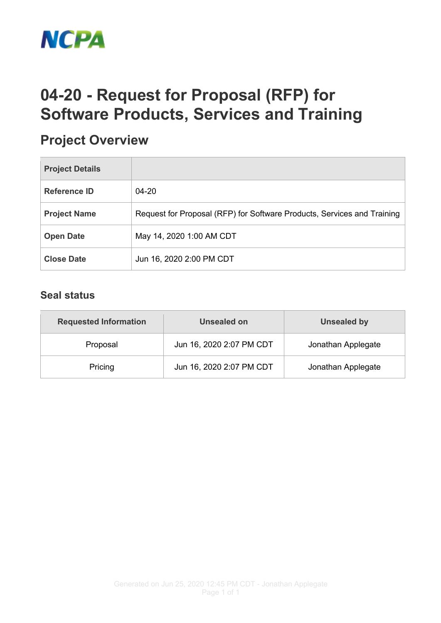

## **04-20 - Request for Proposal (RFP) for Software Products, Services and Training**

## **Project Overview**

| <b>Project Details</b> |                                                                         |
|------------------------|-------------------------------------------------------------------------|
| <b>Reference ID</b>    | $04 - 20$                                                               |
| <b>Project Name</b>    | Request for Proposal (RFP) for Software Products, Services and Training |
| <b>Open Date</b>       | May 14, 2020 1:00 AM CDT                                                |
| <b>Close Date</b>      | Jun 16, 2020 2:00 PM CDT                                                |

## **Seal status**

| <b>Requested Information</b> | Unsealed on              | <b>Unsealed by</b> |  |
|------------------------------|--------------------------|--------------------|--|
| Proposal                     | Jun 16, 2020 2:07 PM CDT | Jonathan Applegate |  |
| Pricing                      | Jun 16, 2020 2:07 PM CDT | Jonathan Applegate |  |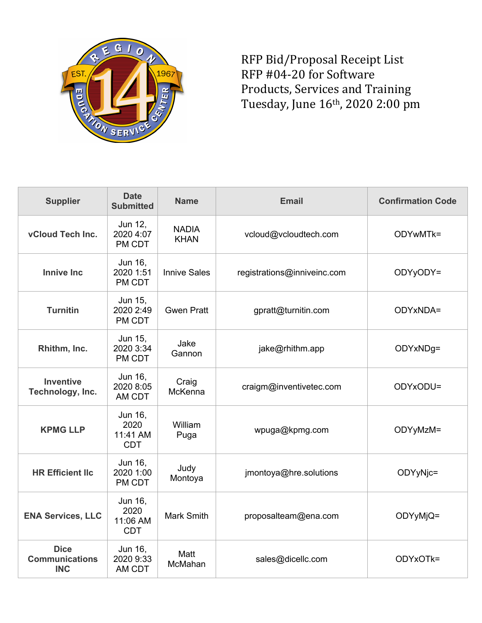

RFP Bid/Proposal Receipt List RFP #04-20 for Software Products, Services and Training Tuesday, June 16th, 2020 2:00 pm

| <b>Supplier</b>                                    | <b>Date</b><br><b>Submitted</b>           | <b>Name</b>                 | <b>Email</b>                | <b>Confirmation Code</b> |
|----------------------------------------------------|-------------------------------------------|-----------------------------|-----------------------------|--------------------------|
| vCloud Tech Inc.                                   | Jun 12,<br>2020 4:07<br>PM CDT            | <b>NADIA</b><br><b>KHAN</b> | vcloud@vcloudtech.com       | ODYwMTk=                 |
| <b>Innive Inc</b>                                  | Jun 16,<br>2020 1:51<br>PM CDT            | <b>Innive Sales</b>         | registrations@inniveinc.com | ODYyODY=                 |
| <b>Turnitin</b>                                    | Jun 15,<br>2020 2:49<br>PM CDT            | <b>Gwen Pratt</b>           | gpratt@turnitin.com         | ODYxNDA=                 |
| Rhithm, Inc.                                       | Jun 15,<br>2020 3:34<br>PM CDT            | Jake<br>Gannon              | jake@rhithm.app             | ODYxNDg=                 |
| <b>Inventive</b><br>Technology, Inc.               | Jun 16,<br>2020 8:05<br>AM CDT            | Craig<br>McKenna            | craigm@inventivetec.com     | ODYxODU=                 |
| <b>KPMG LLP</b>                                    | Jun 16,<br>2020<br>11:41 AM<br><b>CDT</b> | William<br>Puga             | wpuga@kpmg.com              | ODYyMzM=                 |
| <b>HR Efficient Ilc</b>                            | Jun 16,<br>2020 1:00<br>PM CDT            | Judy<br>Montoya             | jmontoya@hre.solutions      | ODYyNic=                 |
| <b>ENA Services, LLC</b>                           | Jun 16,<br>2020<br>11:06 AM<br><b>CDT</b> | <b>Mark Smith</b>           | proposalteam@ena.com        | ODYyMjQ=                 |
| <b>Dice</b><br><b>Communications</b><br><b>INC</b> | Jun 16,<br>2020 9:33<br>AM CDT            | Matt<br>McMahan             | sales@dicellc.com           | ODYxOTk=                 |